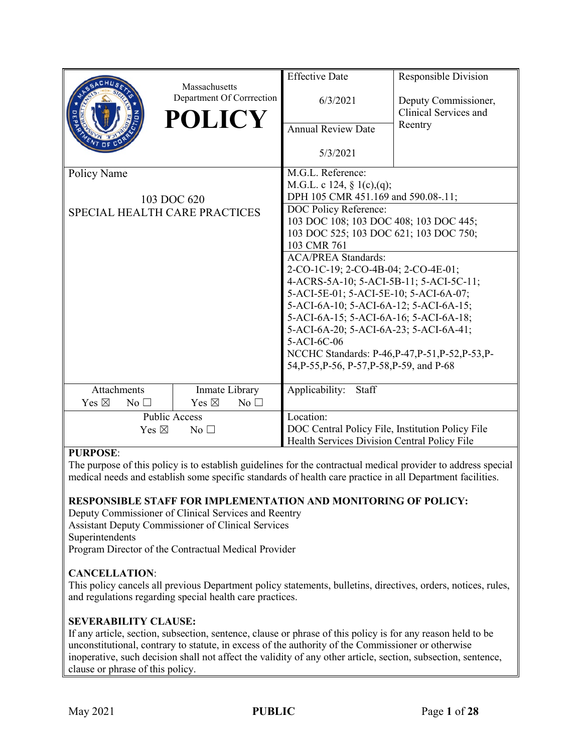|                                      | Massachusetts                   | <b>Effective Date</b>                                             | Responsible Division                   |  |
|--------------------------------------|---------------------------------|-------------------------------------------------------------------|----------------------------------------|--|
|                                      | Department Of Corrrection       | 6/3/2021                                                          | Deputy Commissioner,                   |  |
|                                      | <b>POLICY</b>                   |                                                                   | Clinical Services and                  |  |
|                                      |                                 | Annual Review Date                                                | Reentry                                |  |
|                                      |                                 | 5/3/2021                                                          |                                        |  |
| Policy Name                          |                                 | M.G.L. Reference:                                                 |                                        |  |
|                                      |                                 | M.G.L. c 124, § 1(c),(q);                                         |                                        |  |
|                                      | 103 DOC 620                     | DPH 105 CMR 451.169 and 590.08-.11;                               |                                        |  |
| <b>SPECIAL HEALTH CARE PRACTICES</b> |                                 | DOC Policy Reference:                                             |                                        |  |
|                                      |                                 | 103 DOC 108; 103 DOC 408; 103 DOC 445;                            |                                        |  |
|                                      |                                 |                                                                   | 103 DOC 525; 103 DOC 621; 103 DOC 750; |  |
|                                      |                                 | 103 CMR 761                                                       |                                        |  |
|                                      |                                 | <b>ACA/PREA Standards:</b><br>2-CO-1C-19; 2-CO-4B-04; 2-CO-4E-01; |                                        |  |
|                                      |                                 | 4-ACRS-5A-10; 5-ACI-5B-11; 5-ACI-5C-11;                           |                                        |  |
|                                      |                                 | 5-ACI-5E-01; 5-ACI-5E-10; 5-ACI-6A-07;                            |                                        |  |
|                                      |                                 | 5-ACI-6A-10; 5-ACI-6A-12; 5-ACI-6A-15;                            |                                        |  |
|                                      |                                 | 5-ACI-6A-15; 5-ACI-6A-16; 5-ACI-6A-18;                            |                                        |  |
|                                      |                                 | 5-ACI-6A-20; 5-ACI-6A-23; 5-ACI-6A-41;                            |                                        |  |
|                                      |                                 | 5-ACI-6C-06                                                       |                                        |  |
|                                      |                                 | NCCHC Standards: P-46, P-47, P-51, P-52, P-53, P-                 |                                        |  |
|                                      |                                 | 54, P-55, P-56, P-57, P-58, P-59, and P-68                        |                                        |  |
|                                      |                                 |                                                                   |                                        |  |
| <b>Attachments</b>                   | Inmate Library                  | Applicability:<br>Staff                                           |                                        |  |
| Yes $\boxtimes$<br>No $\square$      | Yes $\boxtimes$<br>No $\square$ |                                                                   |                                        |  |
|                                      | <b>Public Access</b>            | Location:                                                         |                                        |  |
| Yes $\boxtimes$<br>No <sub>1</sub>   |                                 | DOC Central Policy File, Institution Policy File                  |                                        |  |
| <b>DIDDACE</b>                       |                                 | Health Services Division Central Policy File                      |                                        |  |

#### **PURPOSE**:

The purpose of this policy is to establish guidelines for the contractual medical provider to address special medical needs and establish some specific standards of health care practice in all Department facilities.

#### **RESPONSIBLE STAFF FOR IMPLEMENTATION AND MONITORING OF POLICY:**

Deputy Commissioner of Clinical Services and Reentry Assistant Deputy Commissioner of Clinical Services Superintendents Program Director of the Contractual Medical Provider

#### **CANCELLATION**:

This policy cancels all previous Department policy statements, bulletins, directives, orders, notices, rules, and regulations regarding special health care practices.

#### **SEVERABILITY CLAUSE:**

If any article, section, subsection, sentence, clause or phrase of this policy is for any reason held to be unconstitutional, contrary to statute, in excess of the authority of the Commissioner or otherwise inoperative, such decision shall not affect the validity of any other article, section, subsection, sentence, clause or phrase of this policy.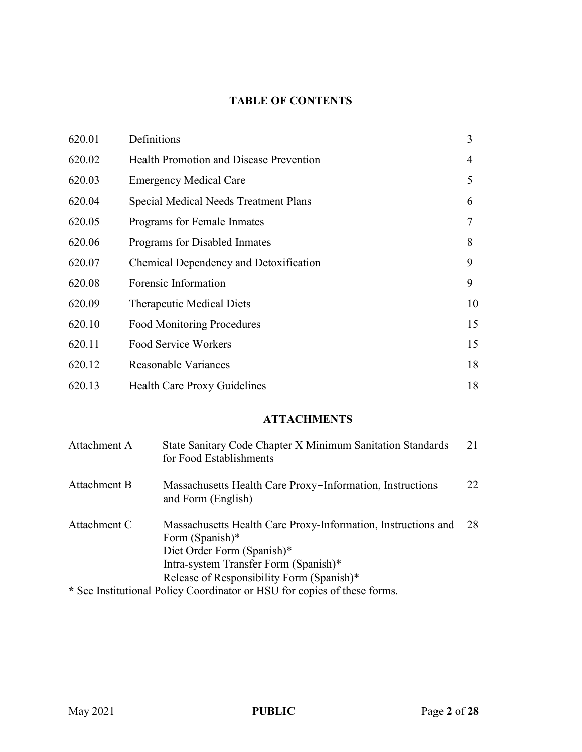# **TABLE OF CONTENTS**

| 620.01 | Definitions                                    | 3  |
|--------|------------------------------------------------|----|
| 620.02 | <b>Health Promotion and Disease Prevention</b> | 4  |
| 620.03 | <b>Emergency Medical Care</b>                  | 5  |
| 620.04 | <b>Special Medical Needs Treatment Plans</b>   | 6  |
| 620.05 | Programs for Female Inmates                    | 7  |
| 620.06 | Programs for Disabled Inmates                  | 8  |
| 620.07 | Chemical Dependency and Detoxification         | 9  |
| 620.08 | Forensic Information                           | 9  |
| 620.09 | <b>Therapeutic Medical Diets</b>               | 10 |
| 620.10 | <b>Food Monitoring Procedures</b>              | 15 |
| 620.11 | Food Service Workers                           | 15 |
| 620.12 | Reasonable Variances                           | 18 |
| 620.13 | <b>Health Care Proxy Guidelines</b>            | 18 |

# **ATTACHMENTS**

| Attachment A | State Sanitary Code Chapter X Minimum Sanitation Standards<br>for Food Establishments                                                                                                                                                                                            | 21 |
|--------------|----------------------------------------------------------------------------------------------------------------------------------------------------------------------------------------------------------------------------------------------------------------------------------|----|
| Attachment B | Massachusetts Health Care Proxy-Information, Instructions<br>and Form (English)                                                                                                                                                                                                  | 22 |
| Attachment C | Massachusetts Health Care Proxy-Information, Instructions and<br>Form (Spanish)*<br>Diet Order Form (Spanish)*<br>Intra-system Transfer Form (Spanish)*<br>Release of Responsibility Form (Spanish)*<br>* See Institutional Policy Coordinator or HSU for copies of these forms. | 28 |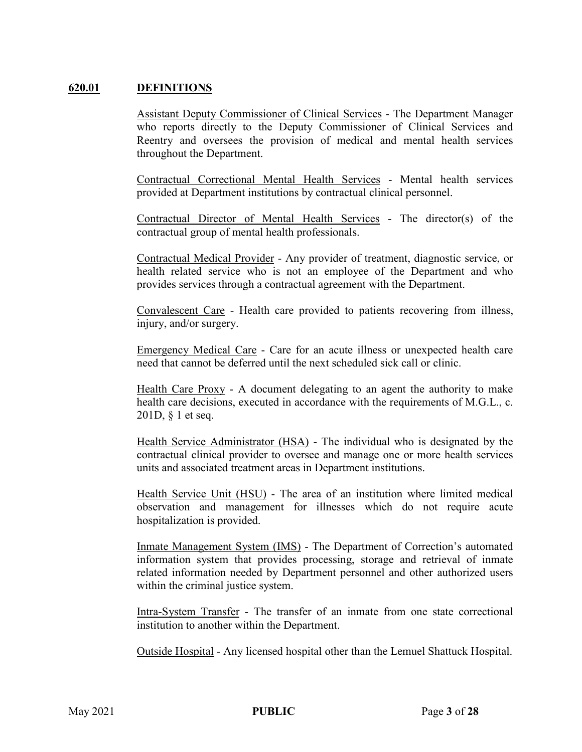### **620.01 DEFINITIONS**

Assistant Deputy Commissioner of Clinical Services - The Department Manager who reports directly to the Deputy Commissioner of Clinical Services and Reentry and oversees the provision of medical and mental health services throughout the Department.

Contractual Correctional Mental Health Services - Mental health services provided at Department institutions by contractual clinical personnel.

Contractual Director of Mental Health Services - The director(s) of the contractual group of mental health professionals.

Contractual Medical Provider - Any provider of treatment, diagnostic service, or health related service who is not an employee of the Department and who provides services through a contractual agreement with the Department.

Convalescent Care - Health care provided to patients recovering from illness, injury, and/or surgery.

Emergency Medical Care - Care for an acute illness or unexpected health care need that cannot be deferred until the next scheduled sick call or clinic.

Health Care Proxy - A document delegating to an agent the authority to make health care decisions, executed in accordance with the requirements of M.G.L., c. 201D, § 1 et seq.

Health Service Administrator (HSA) - The individual who is designated by the contractual clinical provider to oversee and manage one or more health services units and associated treatment areas in Department institutions.

Health Service Unit (HSU) - The area of an institution where limited medical observation and management for illnesses which do not require acute hospitalization is provided.

Inmate Management System (IMS) - The Department of Correction's automated information system that provides processing, storage and retrieval of inmate related information needed by Department personnel and other authorized users within the criminal justice system.

Intra-System Transfer - The transfer of an inmate from one state correctional institution to another within the Department.

Outside Hospital - Any licensed hospital other than the Lemuel Shattuck Hospital.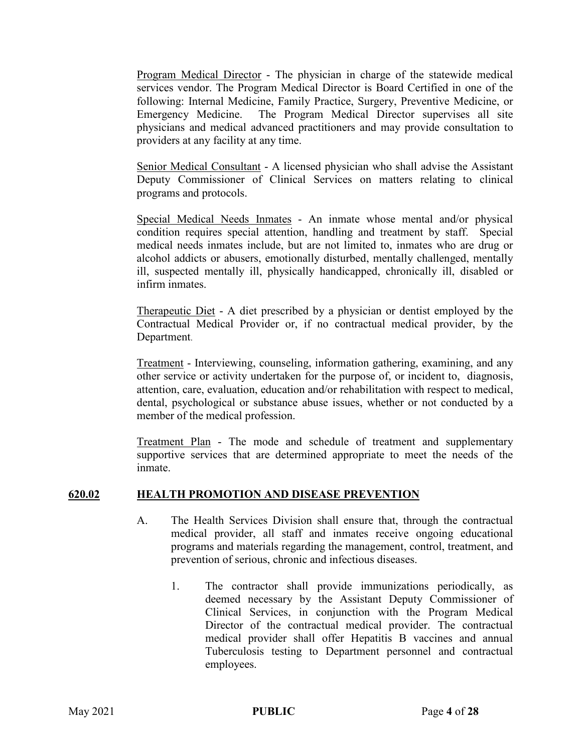Program Medical Director - The physician in charge of the statewide medical services vendor. The Program Medical Director is Board Certified in one of the following: Internal Medicine, Family Practice, Surgery, Preventive Medicine, or Emergency Medicine. The Program Medical Director supervises all site physicians and medical advanced practitioners and may provide consultation to providers at any facility at any time.

Senior Medical Consultant - A licensed physician who shall advise the Assistant Deputy Commissioner of Clinical Services on matters relating to clinical programs and protocols.

Special Medical Needs Inmates - An inmate whose mental and/or physical condition requires special attention, handling and treatment by staff. Special medical needs inmates include, but are not limited to, inmates who are drug or alcohol addicts or abusers, emotionally disturbed, mentally challenged, mentally ill, suspected mentally ill, physically handicapped, chronically ill, disabled or infirm inmates.

Therapeutic Diet - A diet prescribed by a physician or dentist employed by the Contractual Medical Provider or, if no contractual medical provider, by the Department.

Treatment - Interviewing, counseling, information gathering, examining, and any other service or activity undertaken for the purpose of, or incident to, diagnosis, attention, care, evaluation, education and/or rehabilitation with respect to medical, dental, psychological or substance abuse issues, whether or not conducted by a member of the medical profession.

Treatment Plan - The mode and schedule of treatment and supplementary supportive services that are determined appropriate to meet the needs of the inmate.

### **620.02 HEALTH PROMOTION AND DISEASE PREVENTION**

- A. The Health Services Division shall ensure that, through the contractual medical provider, all staff and inmates receive ongoing educational programs and materials regarding the management, control, treatment, and prevention of serious, chronic and infectious diseases.
	- 1. The contractor shall provide immunizations periodically, as deemed necessary by the Assistant Deputy Commissioner of Clinical Services, in conjunction with the Program Medical Director of the contractual medical provider. The contractual medical provider shall offer Hepatitis B vaccines and annual Tuberculosis testing to Department personnel and contractual employees.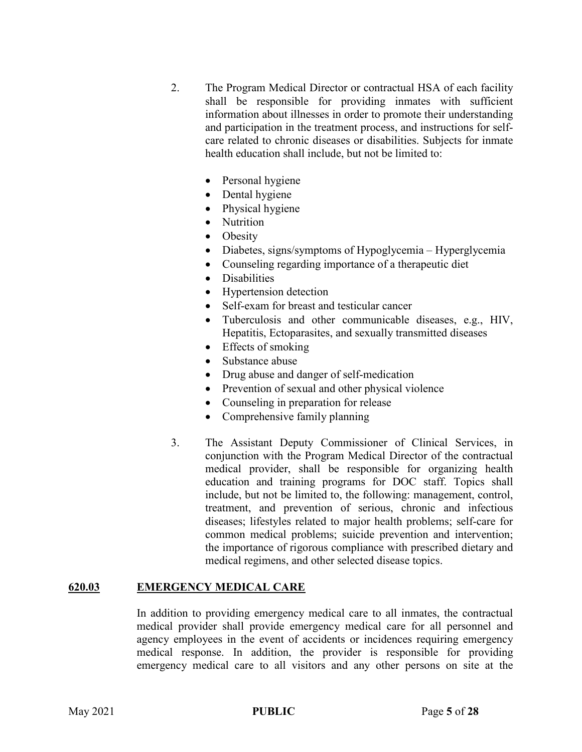- 2. The Program Medical Director or contractual HSA of each facility shall be responsible for providing inmates with sufficient information about illnesses in order to promote their understanding and participation in the treatment process, and instructions for selfcare related to chronic diseases or disabilities. Subjects for inmate health education shall include, but not be limited to:
	- Personal hygiene
	- Dental hygiene
	- Physical hygiene
	- Nutrition
	- **Obesity**
	- Diabetes, signs/symptoms of Hypoglycemia Hyperglycemia
	- Counseling regarding importance of a therapeutic diet
	- **Disabilities**
	- Hypertension detection
	- Self-exam for breast and testicular cancer
	- Tuberculosis and other communicable diseases, e.g., HIV, Hepatitis, Ectoparasites, and sexually transmitted diseases
	- Effects of smoking
	- Substance abuse
	- Drug abuse and danger of self-medication
	- Prevention of sexual and other physical violence
	- Counseling in preparation for release
	- Comprehensive family planning
- 3. The Assistant Deputy Commissioner of Clinical Services, in conjunction with the Program Medical Director of the contractual medical provider, shall be responsible for organizing health education and training programs for DOC staff. Topics shall include, but not be limited to, the following: management, control, treatment, and prevention of serious, chronic and infectious diseases; lifestyles related to major health problems; self-care for common medical problems; suicide prevention and intervention; the importance of rigorous compliance with prescribed dietary and medical regimens, and other selected disease topics.

#### **620.03 EMERGENCY MEDICAL CARE**

In addition to providing emergency medical care to all inmates, the contractual medical provider shall provide emergency medical care for all personnel and agency employees in the event of accidents or incidences requiring emergency medical response. In addition, the provider is responsible for providing emergency medical care to all visitors and any other persons on site at the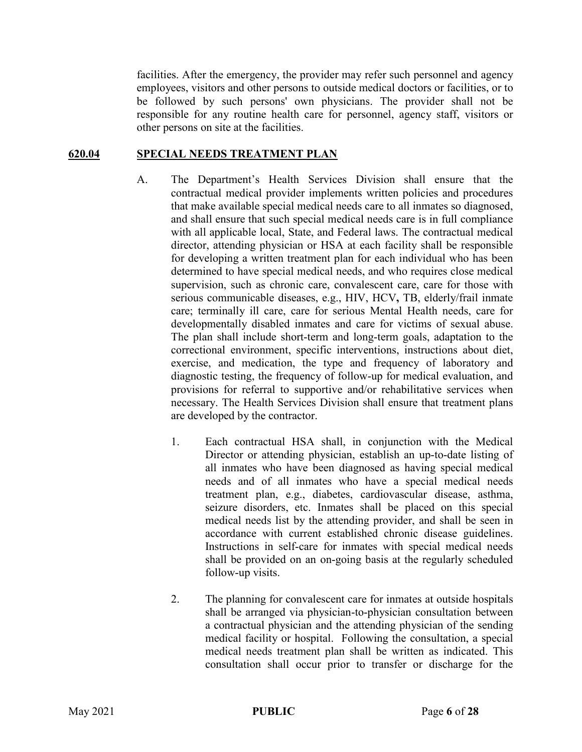facilities. After the emergency, the provider may refer such personnel and agency employees, visitors and other persons to outside medical doctors or facilities, or to be followed by such persons' own physicians. The provider shall not be responsible for any routine health care for personnel, agency staff, visitors or other persons on site at the facilities.

### **620.04 SPECIAL NEEDS TREATMENT PLAN**

- A. The Department's Health Services Division shall ensure that the contractual medical provider implements written policies and procedures that make available special medical needs care to all inmates so diagnosed, and shall ensure that such special medical needs care is in full compliance with all applicable local, State, and Federal laws. The contractual medical director, attending physician or HSA at each facility shall be responsible for developing a written treatment plan for each individual who has been determined to have special medical needs, and who requires close medical supervision, such as chronic care, convalescent care, care for those with serious communicable diseases, e.g., HIV, HCV**,** TB, elderly/frail inmate care; terminally ill care, care for serious Mental Health needs, care for developmentally disabled inmates and care for victims of sexual abuse. The plan shall include short-term and long-term goals, adaptation to the correctional environment, specific interventions, instructions about diet, exercise, and medication, the type and frequency of laboratory and diagnostic testing, the frequency of follow-up for medical evaluation, and provisions for referral to supportive and/or rehabilitative services when necessary. The Health Services Division shall ensure that treatment plans are developed by the contractor.
	- 1. Each contractual HSA shall, in conjunction with the Medical Director or attending physician, establish an up-to-date listing of all inmates who have been diagnosed as having special medical needs and of all inmates who have a special medical needs treatment plan, e.g., diabetes, cardiovascular disease, asthma, seizure disorders, etc. Inmates shall be placed on this special medical needs list by the attending provider, and shall be seen in accordance with current established chronic disease guidelines. Instructions in self-care for inmates with special medical needs shall be provided on an on-going basis at the regularly scheduled follow-up visits.
	- 2. The planning for convalescent care for inmates at outside hospitals shall be arranged via physician-to-physician consultation between a contractual physician and the attending physician of the sending medical facility or hospital. Following the consultation, a special medical needs treatment plan shall be written as indicated. This consultation shall occur prior to transfer or discharge for the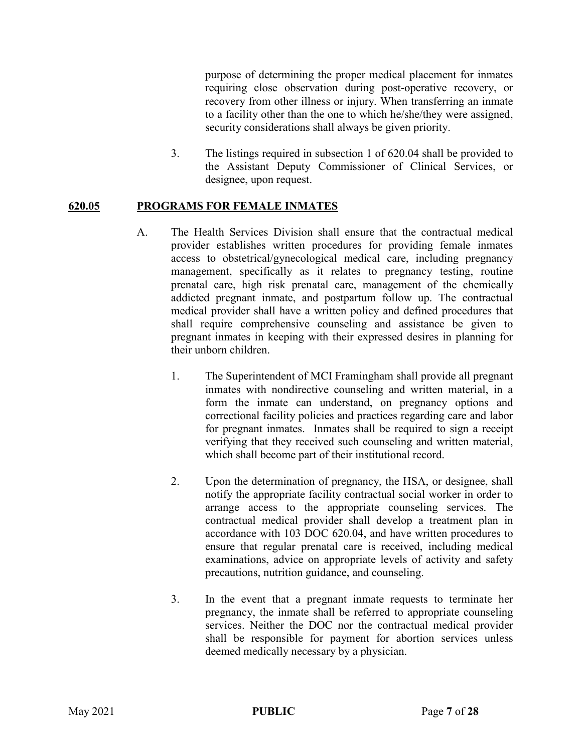purpose of determining the proper medical placement for inmates requiring close observation during post-operative recovery, or recovery from other illness or injury. When transferring an inmate to a facility other than the one to which he/she/they were assigned, security considerations shall always be given priority.

3. The listings required in subsection 1 of 620.04 shall be provided to the Assistant Deputy Commissioner of Clinical Services, or designee, upon request.

### **620.05 PROGRAMS FOR FEMALE INMATES**

- A. The Health Services Division shall ensure that the contractual medical provider establishes written procedures for providing female inmates access to obstetrical/gynecological medical care, including pregnancy management, specifically as it relates to pregnancy testing, routine prenatal care, high risk prenatal care, management of the chemically addicted pregnant inmate, and postpartum follow up. The contractual medical provider shall have a written policy and defined procedures that shall require comprehensive counseling and assistance be given to pregnant inmates in keeping with their expressed desires in planning for their unborn children.
	- 1. The Superintendent of MCI Framingham shall provide all pregnant inmates with nondirective counseling and written material, in a form the inmate can understand, on pregnancy options and correctional facility policies and practices regarding care and labor for pregnant inmates. Inmates shall be required to sign a receipt verifying that they received such counseling and written material, which shall become part of their institutional record.
	- 2. Upon the determination of pregnancy, the HSA, or designee, shall notify the appropriate facility contractual social worker in order to arrange access to the appropriate counseling services. The contractual medical provider shall develop a treatment plan in accordance with 103 DOC 620.04, and have written procedures to ensure that regular prenatal care is received, including medical examinations, advice on appropriate levels of activity and safety precautions, nutrition guidance, and counseling.
	- 3. In the event that a pregnant inmate requests to terminate her pregnancy, the inmate shall be referred to appropriate counseling services. Neither the DOC nor the contractual medical provider shall be responsible for payment for abortion services unless deemed medically necessary by a physician.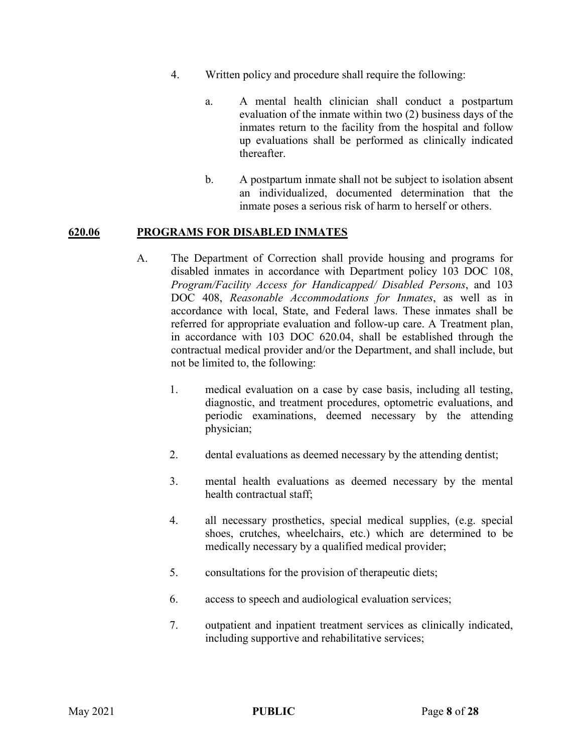- 4. Written policy and procedure shall require the following:
	- a. A mental health clinician shall conduct a postpartum evaluation of the inmate within two (2) business days of the inmates return to the facility from the hospital and follow up evaluations shall be performed as clinically indicated thereafter.
	- b. A postpartum inmate shall not be subject to isolation absent an individualized, documented determination that the inmate poses a serious risk of harm to herself or others.

### **620.06 PROGRAMS FOR DISABLED INMATES**

- A. The Department of Correction shall provide housing and programs for disabled inmates in accordance with Department policy 103 DOC 108, *Program/Facility Access for Handicapped/ Disabled Persons*, and 103 DOC 408, *Reasonable Accommodations for Inmates*, as well as in accordance with local, State, and Federal laws. These inmates shall be referred for appropriate evaluation and follow-up care. A Treatment plan, in accordance with 103 DOC 620.04, shall be established through the contractual medical provider and/or the Department, and shall include, but not be limited to, the following:
	- 1. medical evaluation on a case by case basis, including all testing, diagnostic, and treatment procedures, optometric evaluations, and periodic examinations, deemed necessary by the attending physician;
	- 2. dental evaluations as deemed necessary by the attending dentist;
	- 3. mental health evaluations as deemed necessary by the mental health contractual staff;
	- 4. all necessary prosthetics, special medical supplies, (e.g. special shoes, crutches, wheelchairs, etc.) which are determined to be medically necessary by a qualified medical provider;
	- 5. consultations for the provision of therapeutic diets;
	- 6. access to speech and audiological evaluation services;
	- 7. outpatient and inpatient treatment services as clinically indicated, including supportive and rehabilitative services;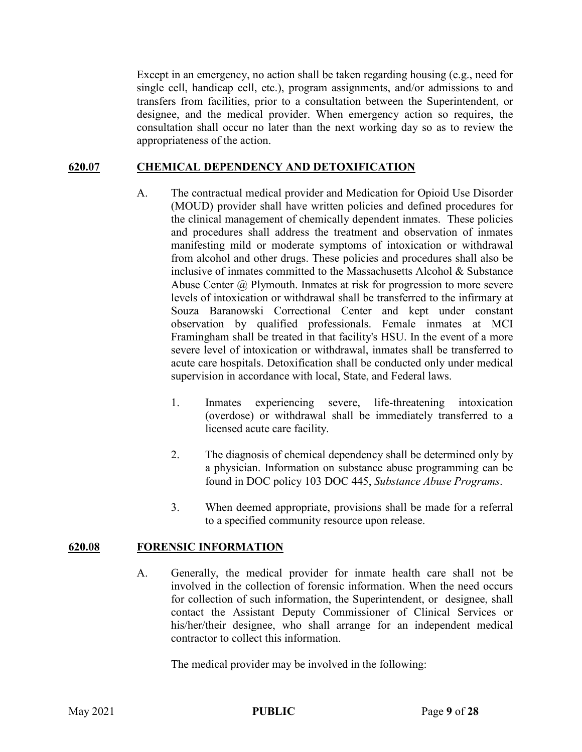Except in an emergency, no action shall be taken regarding housing (e.g., need for single cell, handicap cell, etc.), program assignments, and/or admissions to and transfers from facilities, prior to a consultation between the Superintendent, or designee, and the medical provider. When emergency action so requires, the consultation shall occur no later than the next working day so as to review the appropriateness of the action.

### **620.07 CHEMICAL DEPENDENCY AND DETOXIFICATION**

- A. The contractual medical provider and Medication for Opioid Use Disorder (MOUD) provider shall have written policies and defined procedures for the clinical management of chemically dependent inmates. These policies and procedures shall address the treatment and observation of inmates manifesting mild or moderate symptoms of intoxication or withdrawal from alcohol and other drugs. These policies and procedures shall also be inclusive of inmates committed to the Massachusetts Alcohol & Substance Abuse Center @ Plymouth. Inmates at risk for progression to more severe levels of intoxication or withdrawal shall be transferred to the infirmary at Souza Baranowski Correctional Center and kept under constant observation by qualified professionals. Female inmates at MCI Framingham shall be treated in that facility's HSU. In the event of a more severe level of intoxication or withdrawal, inmates shall be transferred to acute care hospitals. Detoxification shall be conducted only under medical supervision in accordance with local, State, and Federal laws.
	- 1. Inmates experiencing severe, life-threatening intoxication (overdose) or withdrawal shall be immediately transferred to a licensed acute care facility.
	- 2. The diagnosis of chemical dependency shall be determined only by a physician. Information on substance abuse programming can be found in DOC policy 103 DOC 445, *Substance Abuse Programs*.
	- 3. When deemed appropriate, provisions shall be made for a referral to a specified community resource upon release.

### **620.08 FORENSIC INFORMATION**

A. Generally, the medical provider for inmate health care shall not be involved in the collection of forensic information. When the need occurs for collection of such information, the Superintendent, or designee, shall contact the Assistant Deputy Commissioner of Clinical Services or his/her/their designee, who shall arrange for an independent medical contractor to collect this information.

The medical provider may be involved in the following: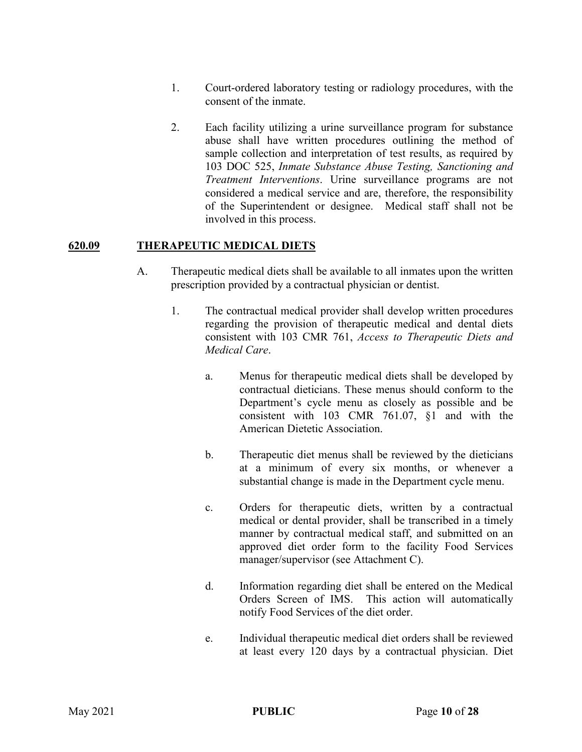- 1. Court-ordered laboratory testing or radiology procedures, with the consent of the inmate.
- 2. Each facility utilizing a urine surveillance program for substance abuse shall have written procedures outlining the method of sample collection and interpretation of test results, as required by 103 DOC 525, *Inmate Substance Abuse Testing, Sanctioning and Treatment Interventions*. Urine surveillance programs are not considered a medical service and are, therefore, the responsibility of the Superintendent or designee. Medical staff shall not be involved in this process.

### **620.09 THERAPEUTIC MEDICAL DIETS**

- A. Therapeutic medical diets shall be available to all inmates upon the written prescription provided by a contractual physician or dentist.
	- 1. The contractual medical provider shall develop written procedures regarding the provision of therapeutic medical and dental diets consistent with 103 CMR 761, *Access to Therapeutic Diets and Medical Care*.
		- a. Menus for therapeutic medical diets shall be developed by contractual dieticians. These menus should conform to the Department's cycle menu as closely as possible and be consistent with 103 CMR 761.07, §1 and with the American Dietetic Association.
		- b. Therapeutic diet menus shall be reviewed by the dieticians at a minimum of every six months, or whenever a substantial change is made in the Department cycle menu.
		- c. Orders for therapeutic diets, written by a contractual medical or dental provider, shall be transcribed in a timely manner by contractual medical staff, and submitted on an approved diet order form to the facility Food Services manager/supervisor (see Attachment C).
		- d. Information regarding diet shall be entered on the Medical Orders Screen of IMS. This action will automatically notify Food Services of the diet order.
		- e. Individual therapeutic medical diet orders shall be reviewed at least every 120 days by a contractual physician. Diet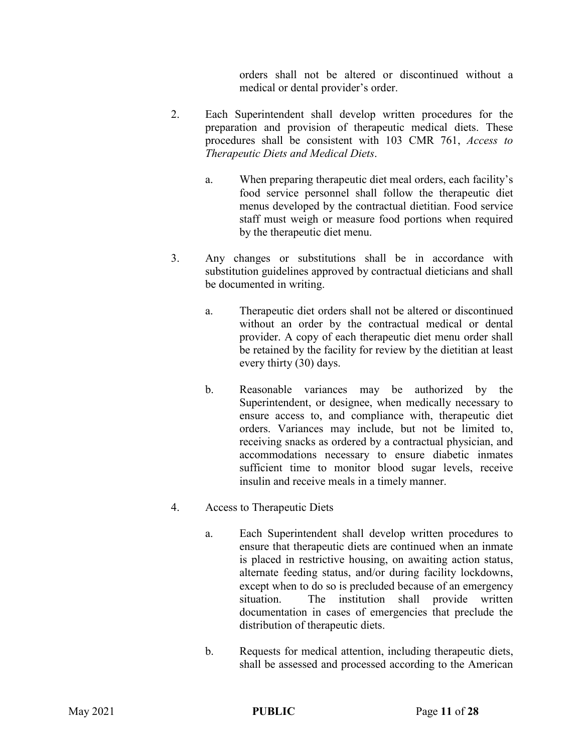orders shall not be altered or discontinued without a medical or dental provider's order.

- 2. Each Superintendent shall develop written procedures for the preparation and provision of therapeutic medical diets. These procedures shall be consistent with 103 CMR 761, *Access to Therapeutic Diets and Medical Diets*.
	- a. When preparing therapeutic diet meal orders, each facility's food service personnel shall follow the therapeutic diet menus developed by the contractual dietitian. Food service staff must weigh or measure food portions when required by the therapeutic diet menu.
- 3. Any changes or substitutions shall be in accordance with substitution guidelines approved by contractual dieticians and shall be documented in writing.
	- a. Therapeutic diet orders shall not be altered or discontinued without an order by the contractual medical or dental provider. A copy of each therapeutic diet menu order shall be retained by the facility for review by the dietitian at least every thirty (30) days.
	- b. Reasonable variances may be authorized by the Superintendent, or designee, when medically necessary to ensure access to, and compliance with, therapeutic diet orders. Variances may include, but not be limited to, receiving snacks as ordered by a contractual physician, and accommodations necessary to ensure diabetic inmates sufficient time to monitor blood sugar levels, receive insulin and receive meals in a timely manner.
- 4. Access to Therapeutic Diets
	- a. Each Superintendent shall develop written procedures to ensure that therapeutic diets are continued when an inmate is placed in restrictive housing, on awaiting action status, alternate feeding status, and/or during facility lockdowns, except when to do so is precluded because of an emergency situation. The institution shall provide written documentation in cases of emergencies that preclude the distribution of therapeutic diets.
	- b. Requests for medical attention, including therapeutic diets, shall be assessed and processed according to the American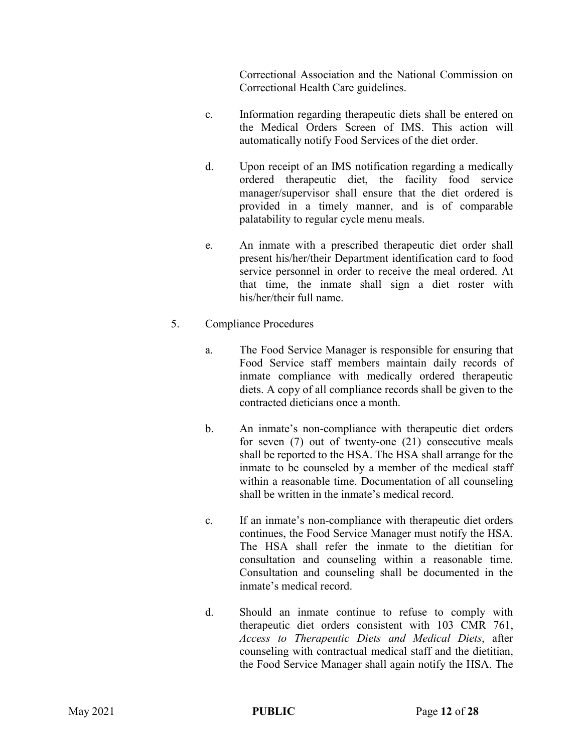Correctional Association and the National Commission on Correctional Health Care guidelines.

- c. Information regarding therapeutic diets shall be entered on the Medical Orders Screen of IMS. This action will automatically notify Food Services of the diet order.
- d. Upon receipt of an IMS notification regarding a medically ordered therapeutic diet, the facility food service manager/supervisor shall ensure that the diet ordered is provided in a timely manner, and is of comparable palatability to regular cycle menu meals.
- e. An inmate with a prescribed therapeutic diet order shall present his/her/their Department identification card to food service personnel in order to receive the meal ordered. At that time, the inmate shall sign a diet roster with his/her/their full name.
- 5. Compliance Procedures
	- a. The Food Service Manager is responsible for ensuring that Food Service staff members maintain daily records of inmate compliance with medically ordered therapeutic diets. A copy of all compliance records shall be given to the contracted dieticians once a month.
	- b. An inmate's non-compliance with therapeutic diet orders for seven (7) out of twenty-one (21) consecutive meals shall be reported to the HSA. The HSA shall arrange for the inmate to be counseled by a member of the medical staff within a reasonable time. Documentation of all counseling shall be written in the inmate's medical record.
	- c. If an inmate's non-compliance with therapeutic diet orders continues, the Food Service Manager must notify the HSA. The HSA shall refer the inmate to the dietitian for consultation and counseling within a reasonable time. Consultation and counseling shall be documented in the inmate's medical record.
	- d. Should an inmate continue to refuse to comply with therapeutic diet orders consistent with 103 CMR 761, *Access to Therapeutic Diets and Medical Diets*, after counseling with contractual medical staff and the dietitian, the Food Service Manager shall again notify the HSA. The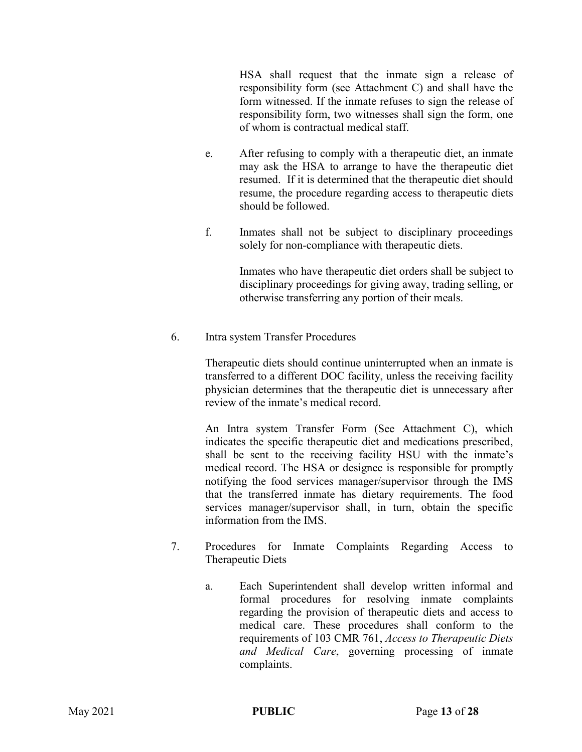HSA shall request that the inmate sign a release of responsibility form (see Attachment C) and shall have the form witnessed. If the inmate refuses to sign the release of responsibility form, two witnesses shall sign the form, one of whom is contractual medical staff.

- e. After refusing to comply with a therapeutic diet, an inmate may ask the HSA to arrange to have the therapeutic diet resumed. If it is determined that the therapeutic diet should resume, the procedure regarding access to therapeutic diets should be followed.
- f. Inmates shall not be subject to disciplinary proceedings solely for non-compliance with therapeutic diets.

Inmates who have therapeutic diet orders shall be subject to disciplinary proceedings for giving away, trading selling, or otherwise transferring any portion of their meals.

6. Intra system Transfer Procedures

Therapeutic diets should continue uninterrupted when an inmate is transferred to a different DOC facility, unless the receiving facility physician determines that the therapeutic diet is unnecessary after review of the inmate's medical record.

An Intra system Transfer Form (See Attachment C), which indicates the specific therapeutic diet and medications prescribed, shall be sent to the receiving facility HSU with the inmate's medical record. The HSA or designee is responsible for promptly notifying the food services manager/supervisor through the IMS that the transferred inmate has dietary requirements. The food services manager/supervisor shall, in turn, obtain the specific information from the IMS.

- 7. Procedures for Inmate Complaints Regarding Access to Therapeutic Diets
	- a. Each Superintendent shall develop written informal and formal procedures for resolving inmate complaints regarding the provision of therapeutic diets and access to medical care. These procedures shall conform to the requirements of 103 CMR 761, *Access to Therapeutic Diets and Medical Care*, governing processing of inmate complaints.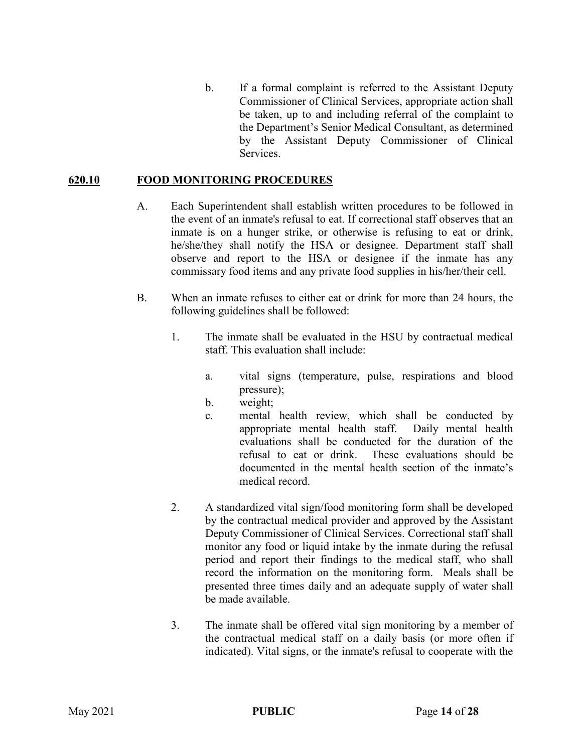b. If a formal complaint is referred to the Assistant Deputy Commissioner of Clinical Services, appropriate action shall be taken, up to and including referral of the complaint to the Department's Senior Medical Consultant, as determined by the Assistant Deputy Commissioner of Clinical Services.

### **620.10 FOOD MONITORING PROCEDURES**

- A. Each Superintendent shall establish written procedures to be followed in the event of an inmate's refusal to eat. If correctional staff observes that an inmate is on a hunger strike, or otherwise is refusing to eat or drink, he/she/they shall notify the HSA or designee. Department staff shall observe and report to the HSA or designee if the inmate has any commissary food items and any private food supplies in his/her/their cell.
- B. When an inmate refuses to either eat or drink for more than 24 hours, the following guidelines shall be followed:
	- 1. The inmate shall be evaluated in the HSU by contractual medical staff. This evaluation shall include:
		- a. vital signs (temperature, pulse, respirations and blood pressure);
		- b. weight;
		- c. mental health review, which shall be conducted by appropriate mental health staff. Daily mental health evaluations shall be conducted for the duration of the refusal to eat or drink. These evaluations should be documented in the mental health section of the inmate's medical record.
	- 2. A standardized vital sign/food monitoring form shall be developed by the contractual medical provider and approved by the Assistant Deputy Commissioner of Clinical Services. Correctional staff shall monitor any food or liquid intake by the inmate during the refusal period and report their findings to the medical staff, who shall record the information on the monitoring form. Meals shall be presented three times daily and an adequate supply of water shall be made available.
	- 3. The inmate shall be offered vital sign monitoring by a member of the contractual medical staff on a daily basis (or more often if indicated). Vital signs, or the inmate's refusal to cooperate with the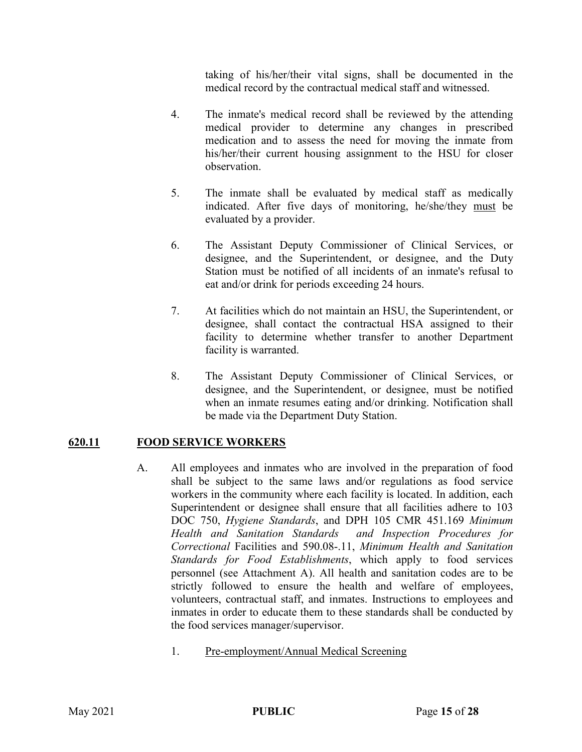taking of his/her/their vital signs, shall be documented in the medical record by the contractual medical staff and witnessed.

- 4. The inmate's medical record shall be reviewed by the attending medical provider to determine any changes in prescribed medication and to assess the need for moving the inmate from his/her/their current housing assignment to the HSU for closer observation.
- 5. The inmate shall be evaluated by medical staff as medically indicated. After five days of monitoring, he/she/they must be evaluated by a provider.
- 6. The Assistant Deputy Commissioner of Clinical Services, or designee, and the Superintendent, or designee, and the Duty Station must be notified of all incidents of an inmate's refusal to eat and/or drink for periods exceeding 24 hours.
- 7. At facilities which do not maintain an HSU, the Superintendent, or designee, shall contact the contractual HSA assigned to their facility to determine whether transfer to another Department facility is warranted.
- 8. The Assistant Deputy Commissioner of Clinical Services, or designee, and the Superintendent, or designee, must be notified when an inmate resumes eating and/or drinking. Notification shall be made via the Department Duty Station.

# **620.11 FOOD SERVICE WORKERS**

- A. All employees and inmates who are involved in the preparation of food shall be subject to the same laws and/or regulations as food service workers in the community where each facility is located. In addition, each Superintendent or designee shall ensure that all facilities adhere to 103 DOC 750, *Hygiene Standards*, and DPH 105 CMR 451.169 *Minimum Health and Sanitation Standards and Inspection Procedures for Correctional* Facilities and 590.08-.11, *Minimum Health and Sanitation Standards for Food Establishments*, which apply to food services personnel (see Attachment A). All health and sanitation codes are to be strictly followed to ensure the health and welfare of employees, volunteers, contractual staff, and inmates. Instructions to employees and inmates in order to educate them to these standards shall be conducted by the food services manager/supervisor.
	- 1. Pre-employment/Annual Medical Screening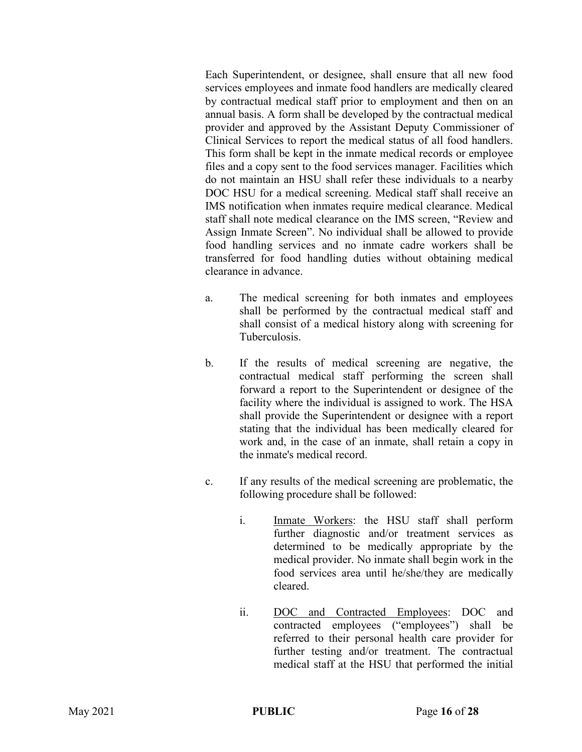Each Superintendent, or designee, shall ensure that all new food services employees and inmate food handlers are medically cleared by contractual medical staff prior to employment and then on an annual basis. A form shall be developed by the contractual medical provider and approved by the Assistant Deputy Commissioner of Clinical Services to report the medical status of all food handlers. This form shall be kept in the inmate medical records or employee files and a copy sent to the food services manager. Facilities which do not maintain an HSU shall refer these individuals to a nearby DOC HSU for a medical screening. Medical staff shall receive an IMS notification when inmates require medical clearance. Medical staff shall note medical clearance on the IMS screen, "Review and Assign Inmate Screen". No individual shall be allowed to provide food handling services and no inmate cadre workers shall be transferred for food handling duties without obtaining medical clearance in advance.

- a. The medical screening for both inmates and employees shall be performed by the contractual medical staff and shall consist of a medical history along with screening for Tuberculosis.
- b. If the results of medical screening are negative, the contractual medical staff performing the screen shall forward a report to the Superintendent or designee of the facility where the individual is assigned to work. The HSA shall provide the Superintendent or designee with a report stating that the individual has been medically cleared for work and, in the case of an inmate, shall retain a copy in the inmate's medical record.
- c. If any results of the medical screening are problematic, the following procedure shall be followed:
	- i. Inmate Workers: the HSU staff shall perform further diagnostic and/or treatment services as determined to be medically appropriate by the medical provider. No inmate shall begin work in the food services area until he/she/they are medically cleared.
	- ii. DOC and Contracted Employees: DOC and contracted employees ("employees") shall be referred to their personal health care provider for further testing and/or treatment. The contractual medical staff at the HSU that performed the initial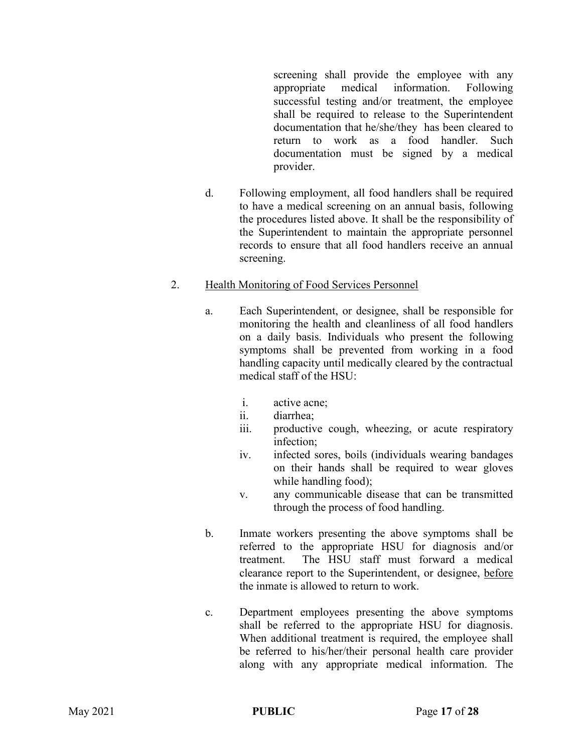screening shall provide the employee with any appropriate medical information. Following successful testing and/or treatment, the employee shall be required to release to the Superintendent documentation that he/she/they has been cleared to return to work as a food handler. Such documentation must be signed by a medical provider.

d. Following employment, all food handlers shall be required to have a medical screening on an annual basis, following the procedures listed above. It shall be the responsibility of the Superintendent to maintain the appropriate personnel records to ensure that all food handlers receive an annual screening.

### 2. Health Monitoring of Food Services Personnel

- a. Each Superintendent, or designee, shall be responsible for monitoring the health and cleanliness of all food handlers on a daily basis. Individuals who present the following symptoms shall be prevented from working in a food handling capacity until medically cleared by the contractual medical staff of the HSU:
	- i. active acne;
	- ii. diarrhea;
	- iii. productive cough, wheezing, or acute respiratory infection;
	- iv. infected sores, boils (individuals wearing bandages on their hands shall be required to wear gloves while handling food);
	- v. any communicable disease that can be transmitted through the process of food handling.
- b. Inmate workers presenting the above symptoms shall be referred to the appropriate HSU for diagnosis and/or treatment. The HSU staff must forward a medical clearance report to the Superintendent, or designee, before the inmate is allowed to return to work.
- c. Department employees presenting the above symptoms shall be referred to the appropriate HSU for diagnosis. When additional treatment is required, the employee shall be referred to his/her/their personal health care provider along with any appropriate medical information. The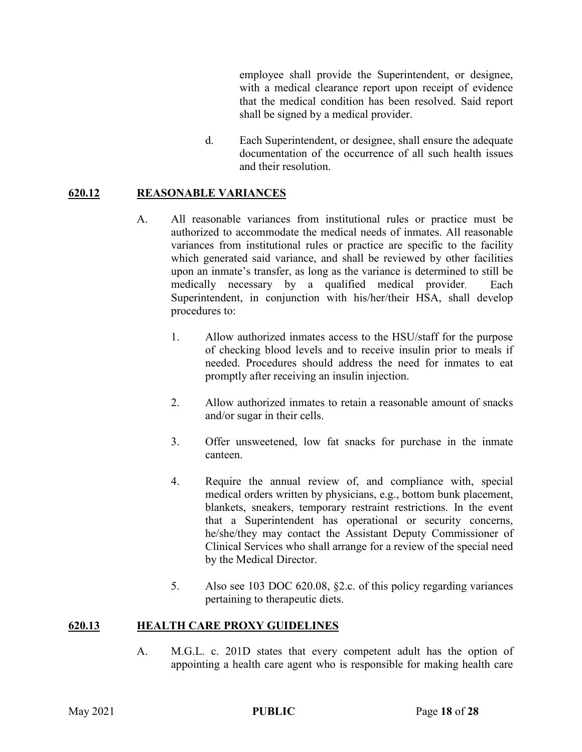employee shall provide the Superintendent, or designee, with a medical clearance report upon receipt of evidence that the medical condition has been resolved. Said report shall be signed by a medical provider.

d. Each Superintendent, or designee, shall ensure the adequate documentation of the occurrence of all such health issues and their resolution.

### **620.12 REASONABLE VARIANCES**

- A. All reasonable variances from institutional rules or practice must be authorized to accommodate the medical needs of inmates. All reasonable variances from institutional rules or practice are specific to the facility which generated said variance, and shall be reviewed by other facilities upon an inmate's transfer, as long as the variance is determined to still be medically necessary by a qualified medical provider. Each Superintendent, in conjunction with his/her/their HSA, shall develop procedures to:
	- 1. Allow authorized inmates access to the HSU/staff for the purpose of checking blood levels and to receive insulin prior to meals if needed. Procedures should address the need for inmates to eat promptly after receiving an insulin injection.
	- 2. Allow authorized inmates to retain a reasonable amount of snacks and/or sugar in their cells.
	- 3. Offer unsweetened, low fat snacks for purchase in the inmate canteen.
	- 4. Require the annual review of, and compliance with, special medical orders written by physicians, e.g., bottom bunk placement, blankets, sneakers, temporary restraint restrictions. In the event that a Superintendent has operational or security concerns, he/she/they may contact the Assistant Deputy Commissioner of Clinical Services who shall arrange for a review of the special need by the Medical Director.
	- 5. Also see 103 DOC 620.08, §2.c. of this policy regarding variances pertaining to therapeutic diets.

#### **620.13 HEALTH CARE PROXY GUIDELINES**

A. M.G.L. c. 201D states that every competent adult has the option of appointing a health care agent who is responsible for making health care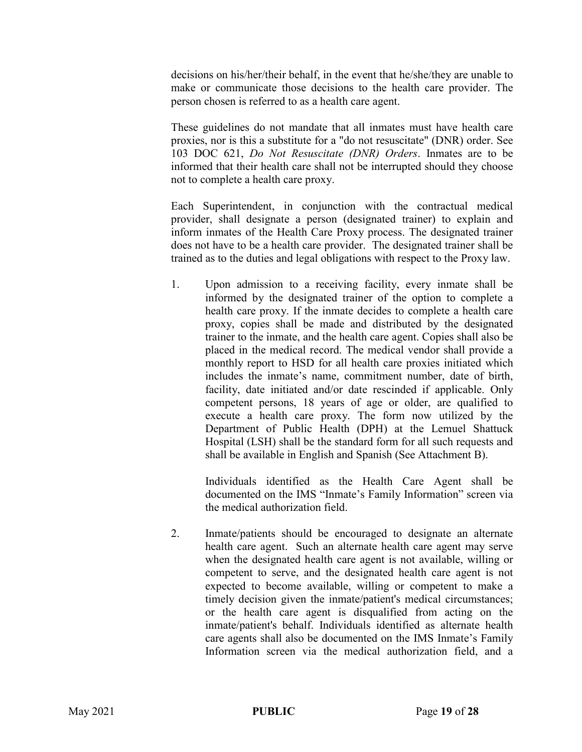decisions on his/her/their behalf, in the event that he/she/they are unable to make or communicate those decisions to the health care provider. The person chosen is referred to as a health care agent.

These guidelines do not mandate that all inmates must have health care proxies, nor is this a substitute for a "do not resuscitate" (DNR) order. See 103 DOC 621, *Do Not Resuscitate (DNR) Orders*. Inmates are to be informed that their health care shall not be interrupted should they choose not to complete a health care proxy.

Each Superintendent, in conjunction with the contractual medical provider, shall designate a person (designated trainer) to explain and inform inmates of the Health Care Proxy process. The designated trainer does not have to be a health care provider. The designated trainer shall be trained as to the duties and legal obligations with respect to the Proxy law.

1. Upon admission to a receiving facility, every inmate shall be informed by the designated trainer of the option to complete a health care proxy. If the inmate decides to complete a health care proxy, copies shall be made and distributed by the designated trainer to the inmate, and the health care agent. Copies shall also be placed in the medical record. The medical vendor shall provide a monthly report to HSD for all health care proxies initiated which includes the inmate's name, commitment number, date of birth, facility, date initiated and/or date rescinded if applicable. Only competent persons, 18 years of age or older, are qualified to execute a health care proxy. The form now utilized by the Department of Public Health (DPH) at the Lemuel Shattuck Hospital (LSH) shall be the standard form for all such requests and shall be available in English and Spanish (See Attachment B).

Individuals identified as the Health Care Agent shall be documented on the IMS "Inmate's Family Information" screen via the medical authorization field.

2. Inmate/patients should be encouraged to designate an alternate health care agent. Such an alternate health care agent may serve when the designated health care agent is not available, willing or competent to serve, and the designated health care agent is not expected to become available, willing or competent to make a timely decision given the inmate/patient's medical circumstances; or the health care agent is disqualified from acting on the inmate/patient's behalf. Individuals identified as alternate health care agents shall also be documented on the IMS Inmate's Family Information screen via the medical authorization field, and a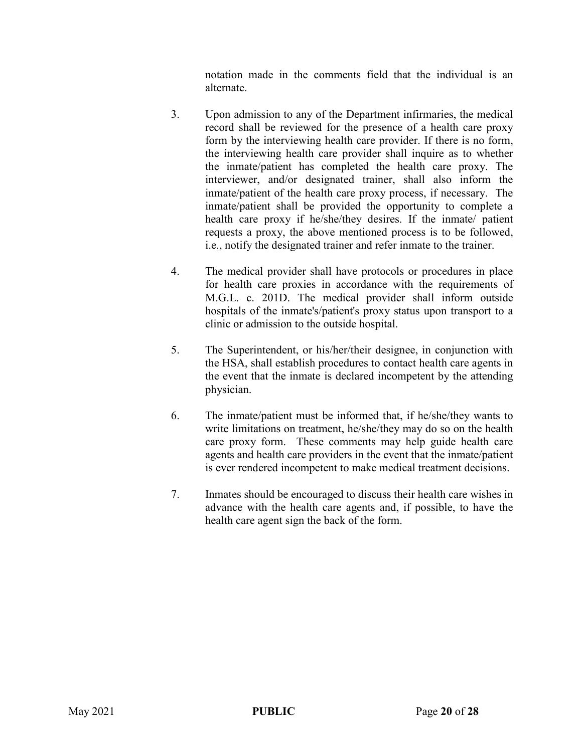notation made in the comments field that the individual is an alternate.

- 3. Upon admission to any of the Department infirmaries, the medical record shall be reviewed for the presence of a health care proxy form by the interviewing health care provider. If there is no form, the interviewing health care provider shall inquire as to whether the inmate/patient has completed the health care proxy. The interviewer, and/or designated trainer, shall also inform the inmate/patient of the health care proxy process, if necessary. The inmate/patient shall be provided the opportunity to complete a health care proxy if he/she/they desires. If the inmate/ patient requests a proxy, the above mentioned process is to be followed, i.e., notify the designated trainer and refer inmate to the trainer.
- 4. The medical provider shall have protocols or procedures in place for health care proxies in accordance with the requirements of M.G.L. c. 201D. The medical provider shall inform outside hospitals of the inmate's/patient's proxy status upon transport to a clinic or admission to the outside hospital.
- 5. The Superintendent, or his/her/their designee, in conjunction with the HSA, shall establish procedures to contact health care agents in the event that the inmate is declared incompetent by the attending physician.
- 6. The inmate/patient must be informed that, if he/she/they wants to write limitations on treatment, he/she/they may do so on the health care proxy form. These comments may help guide health care agents and health care providers in the event that the inmate/patient is ever rendered incompetent to make medical treatment decisions.
- 7. Inmates should be encouraged to discuss their health care wishes in advance with the health care agents and, if possible, to have the health care agent sign the back of the form.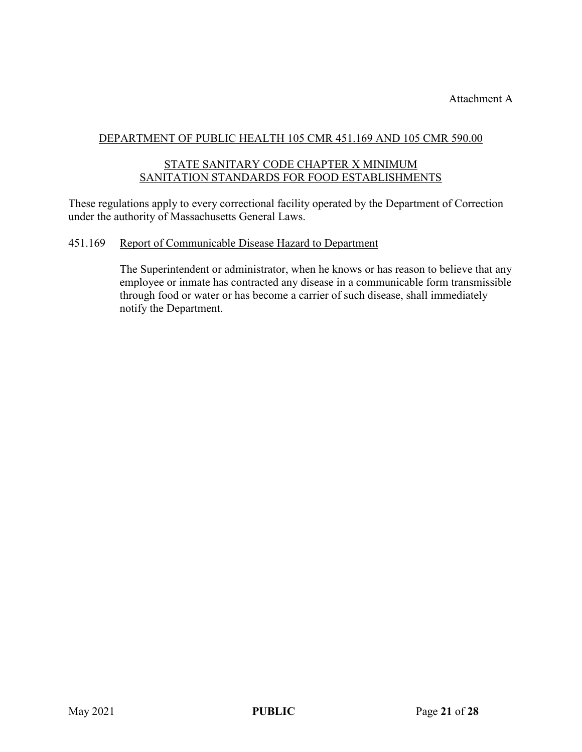Attachment A

## DEPARTMENT OF PUBLIC HEALTH 105 CMR 451.169 AND 105 CMR 590.00

### STATE SANITARY CODE CHAPTER X MINIMUM SANITATION STANDARDS FOR FOOD ESTABLISHMENTS

These regulations apply to every correctional facility operated by the Department of Correction under the authority of Massachusetts General Laws.

#### 451.169 Report of Communicable Disease Hazard to Department

The Superintendent or administrator, when he knows or has reason to believe that any employee or inmate has contracted any disease in a communicable form transmissible through food or water or has become a carrier of such disease, shall immediately notify the Department.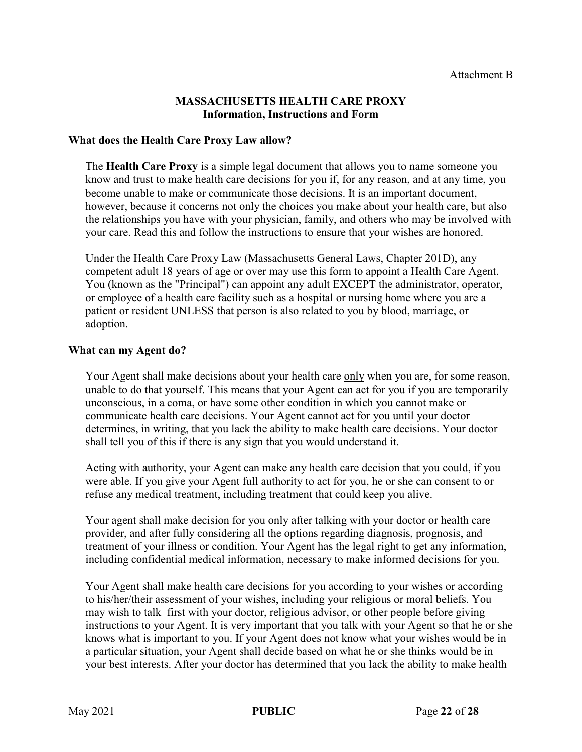#### **MASSACHUSETTS HEALTH CARE PROXY Information, Instructions and Form**

#### **What does the Health Care Proxy Law allow?**

The **Health Care Proxy** is a simple legal document that allows you to name someone you know and trust to make health care decisions for you if, for any reason, and at any time, you become unable to make or communicate those decisions. It is an important document, however, because it concerns not only the choices you make about your health care, but also the relationships you have with your physician, family, and others who may be involved with your care. Read this and follow the instructions to ensure that your wishes are honored.

Under the Health Care Proxy Law (Massachusetts General Laws, Chapter 201D), any competent adult 18 years of age or over may use this form to appoint a Health Care Agent. You (known as the "Principal") can appoint any adult EXCEPT the administrator, operator, or employee of a health care facility such as a hospital or nursing home where you are a patient or resident UNLESS that person is also related to you by blood, marriage, or adoption.

#### **What can my Agent do?**

Your Agent shall make decisions about your health care only when you are, for some reason, unable to do that yourself. This means that your Agent can act for you if you are temporarily unconscious, in a coma, or have some other condition in which you cannot make or communicate health care decisions. Your Agent cannot act for you until your doctor determines, in writing, that you lack the ability to make health care decisions. Your doctor shall tell you of this if there is any sign that you would understand it.

Acting with authority, your Agent can make any health care decision that you could, if you were able. If you give your Agent full authority to act for you, he or she can consent to or refuse any medical treatment, including treatment that could keep you alive.

Your agent shall make decision for you only after talking with your doctor or health care provider, and after fully considering all the options regarding diagnosis, prognosis, and treatment of your illness or condition. Your Agent has the legal right to get any information, including confidential medical information, necessary to make informed decisions for you.

Your Agent shall make health care decisions for you according to your wishes or according to his/her/their assessment of your wishes, including your religious or moral beliefs. You may wish to talk first with your doctor, religious advisor, or other people before giving instructions to your Agent. It is very important that you talk with your Agent so that he or she knows what is important to you. If your Agent does not know what your wishes would be in a particular situation, your Agent shall decide based on what he or she thinks would be in your best interests. After your doctor has determined that you lack the ability to make health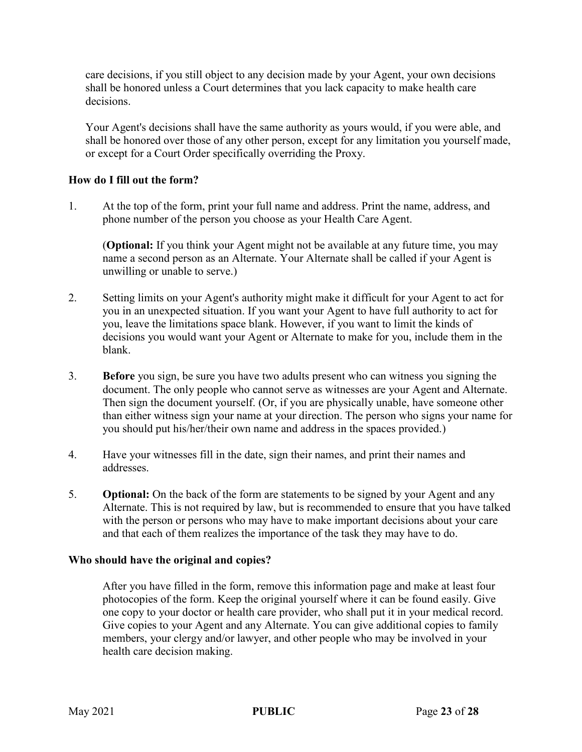care decisions, if you still object to any decision made by your Agent, your own decisions shall be honored unless a Court determines that you lack capacity to make health care decisions.

Your Agent's decisions shall have the same authority as yours would, if you were able, and shall be honored over those of any other person, except for any limitation you yourself made, or except for a Court Order specifically overriding the Proxy.

### **How do I fill out the form?**

1. At the top of the form, print your full name and address. Print the name, address, and phone number of the person you choose as your Health Care Agent.

(**Optional:** If you think your Agent might not be available at any future time, you may name a second person as an Alternate. Your Alternate shall be called if your Agent is unwilling or unable to serve.)

- 2. Setting limits on your Agent's authority might make it difficult for your Agent to act for you in an unexpected situation. If you want your Agent to have full authority to act for you, leave the limitations space blank. However, if you want to limit the kinds of decisions you would want your Agent or Alternate to make for you, include them in the blank.
- 3. **Before** you sign, be sure you have two adults present who can witness you signing the document. The only people who cannot serve as witnesses are your Agent and Alternate. Then sign the document yourself. (Or, if you are physically unable, have someone other than either witness sign your name at your direction. The person who signs your name for you should put his/her/their own name and address in the spaces provided.)
- 4. Have your witnesses fill in the date, sign their names, and print their names and addresses.
- 5. **Optional:** On the back of the form are statements to be signed by your Agent and any Alternate. This is not required by law, but is recommended to ensure that you have talked with the person or persons who may have to make important decisions about your care and that each of them realizes the importance of the task they may have to do.

#### **Who should have the original and copies?**

After you have filled in the form, remove this information page and make at least four photocopies of the form. Keep the original yourself where it can be found easily. Give one copy to your doctor or health care provider, who shall put it in your medical record. Give copies to your Agent and any Alternate. You can give additional copies to family members, your clergy and/or lawyer, and other people who may be involved in your health care decision making.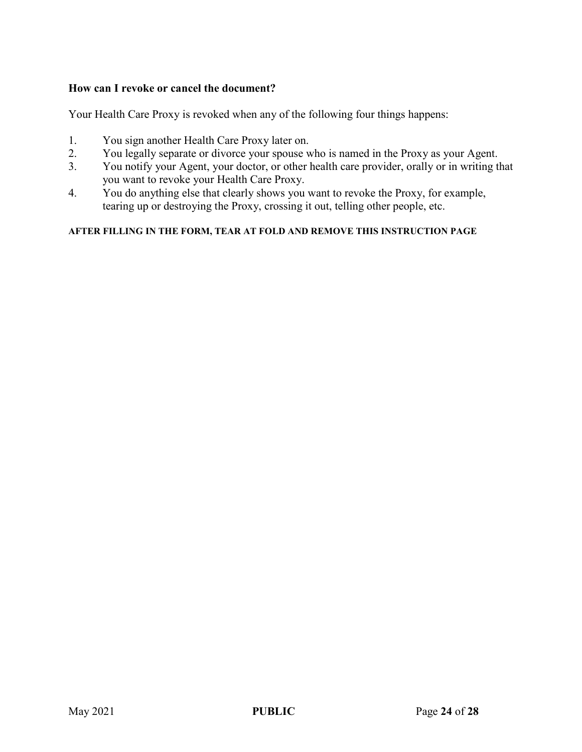### **How can I revoke or cancel the document?**

Your Health Care Proxy is revoked when any of the following four things happens:

- 1. You sign another Health Care Proxy later on.
- 2. You legally separate or divorce your spouse who is named in the Proxy as your Agent.
- 3. You notify your Agent, your doctor, or other health care provider, orally or in writing that you want to revoke your Health Care Proxy.
- 4. You do anything else that clearly shows you want to revoke the Proxy, for example, tearing up or destroying the Proxy, crossing it out, telling other people, etc.

#### **AFTER FILLING IN THE FORM, TEAR AT FOLD AND REMOVE THIS INSTRUCTION PAGE**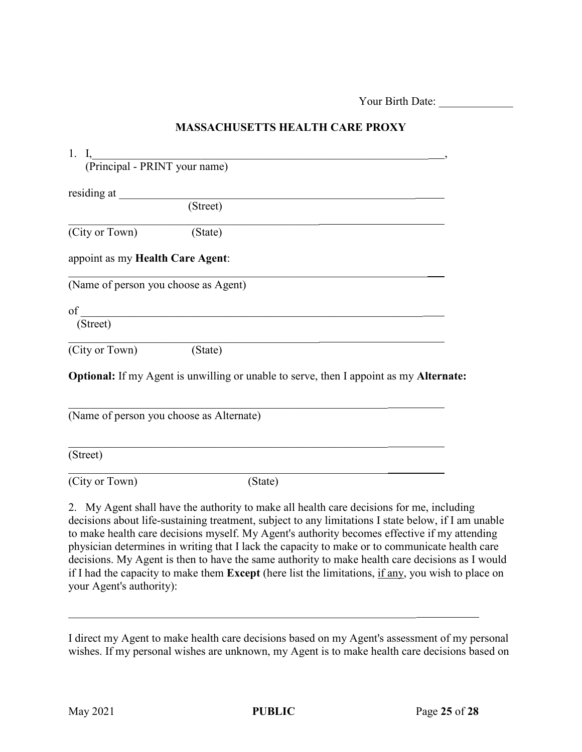Your Birth Date:

| 1. |                               |
|----|-------------------------------|
|    | (Principal - PRINT your name) |
|    |                               |
|    | residing at                   |
|    | (Street)                      |

### **MASSACHUSETTS HEALTH CARE PROXY**

(City or Town) (State)

appoint as my **Health Care Agent**:

(Name of person you choose as Agent)

 $\mathop{\rm of \,}\nolimits_\_{}$ 

(Street)

(City or Town) (State)

**Optional:** If my Agent is unwilling or unable to serve, then I appoint as my **Alternate:**

 $\frac{1}{2}$  , and the contract of the contract of the contract of the contract of the contract of the contract of the contract of the contract of the contract of the contract of the contract of the contract of the contract

\_\_\_\_\_\_\_\_\_\_\_\_\_\_\_\_\_\_\_\_\_\_\_\_\_\_\_\_\_\_\_\_\_\_\_\_\_\_\_\_\_\_\_\_\_\_\_\_\_\_\_\_\_\_\_\_\_\_\_\_\_\_\_

| (Name of person you choose as Alternate) |         |  |  |  |
|------------------------------------------|---------|--|--|--|
| (Street)                                 |         |  |  |  |
| (City or Town)                           | (State) |  |  |  |

2. My Agent shall have the authority to make all health care decisions for me, including decisions about life-sustaining treatment, subject to any limitations I state below, if I am unable to make health care decisions myself. My Agent's authority becomes effective if my attending physician determines in writing that I lack the capacity to make or to communicate health care decisions. My Agent is then to have the same authority to make health care decisions as I would if I had the capacity to make them **Except** (here list the limitations, if any, you wish to place on your Agent's authority):

I direct my Agent to make health care decisions based on my Agent's assessment of my personal wishes. If my personal wishes are unknown, my Agent is to make health care decisions based on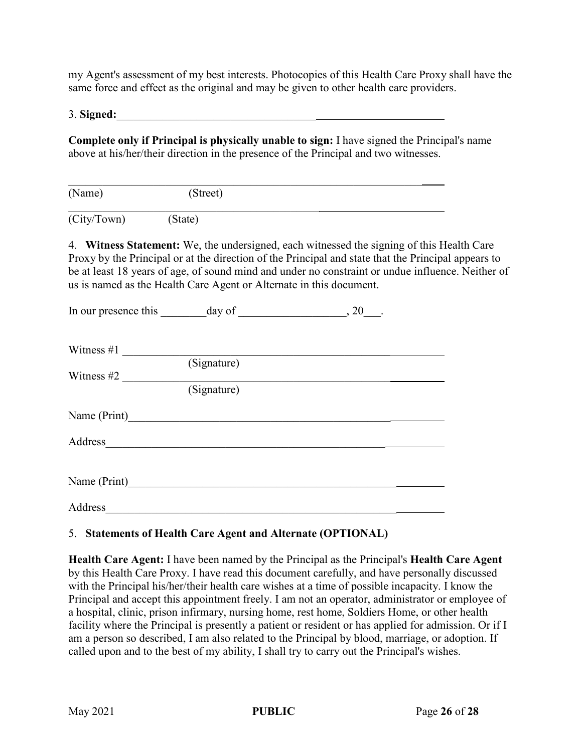my Agent's assessment of my best interests. Photocopies of this Health Care Proxy shall have the same force and effect as the original and may be given to other health care providers.

3. **Signed:**\_\_\_\_\_\_\_\_\_\_\_\_\_\_\_\_\_\_\_\_\_\_\_\_\_\_\_\_\_\_\_\_\_\_\_

**Complete only if Principal is physically unable to sign:** I have signed the Principal's name above at his/her/their direction in the presence of the Principal and two witnesses.

| (Name)      | (Street) |  |  |
|-------------|----------|--|--|
| (City/Town) | (State)  |  |  |

4. **Witness Statement:** We, the undersigned, each witnessed the signing of this Health Care Proxy by the Principal or at the direction of the Principal and state that the Principal appears to be at least 18 years of age, of sound mind and under no constraint or undue influence. Neither of us is named as the Health Care Agent or Alternate in this document.

|               |             | $, 20$ . |  |
|---------------|-------------|----------|--|
| Witness $\#1$ |             |          |  |
|               | (Signature) |          |  |
| Witness $#2$  |             |          |  |
|               | (Signature) |          |  |
| Name (Print)  |             |          |  |
|               | Address     |          |  |
|               |             |          |  |
| Name (Print)  |             |          |  |
| Address       |             |          |  |

# 5. **Statements of Health Care Agent and Alternate (OPTIONAL)**

**Health Care Agent:** I have been named by the Principal as the Principal's **Health Care Agent** by this Health Care Proxy. I have read this document carefully, and have personally discussed with the Principal his/her/their health care wishes at a time of possible incapacity. I know the Principal and accept this appointment freely. I am not an operator, administrator or employee of a hospital, clinic, prison infirmary, nursing home, rest home, Soldiers Home, or other health facility where the Principal is presently a patient or resident or has applied for admission. Or if I am a person so described, I am also related to the Principal by blood, marriage, or adoption. If called upon and to the best of my ability, I shall try to carry out the Principal's wishes.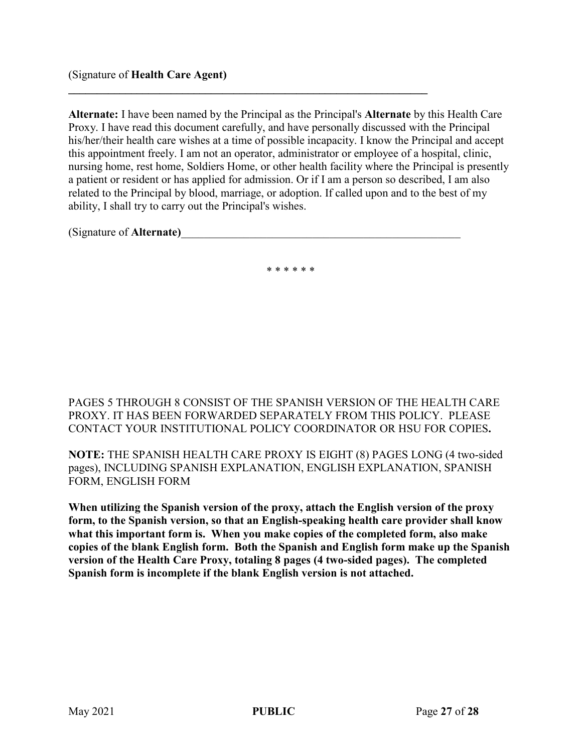#### (Signature of **Health Care Agent)**

**Alternate:** I have been named by the Principal as the Principal's **Alternate** by this Health Care Proxy. I have read this document carefully, and have personally discussed with the Principal his/her/their health care wishes at a time of possible incapacity. I know the Principal and accept this appointment freely. I am not an operator, administrator or employee of a hospital, clinic, nursing home, rest home, Soldiers Home, or other health facility where the Principal is presently a patient or resident or has applied for admission. Or if I am a person so described, I am also related to the Principal by blood, marriage, or adoption. If called upon and to the best of my ability, I shall try to carry out the Principal's wishes.

**\_\_\_\_\_\_\_\_\_\_\_\_\_\_\_\_\_\_\_\_\_\_\_\_\_\_\_\_\_\_\_\_\_\_\_\_\_\_\_\_\_\_\_\_\_\_\_\_\_\_\_\_\_\_\_\_\_\_\_\_\_\_\_**

(Signature of **Alternate)**\_\_\_\_\_\_\_\_\_\_\_\_\_\_\_\_\_\_\_\_\_\_\_\_\_\_\_\_\_\_\_\_\_\_\_\_\_\_\_\_\_\_\_\_\_\_\_\_\_

\* \* \* \* \* \*

PAGES 5 THROUGH 8 CONSIST OF THE SPANISH VERSION OF THE HEALTH CARE PROXY. IT HAS BEEN FORWARDED SEPARATELY FROM THIS POLICY. PLEASE CONTACT YOUR INSTITUTIONAL POLICY COORDINATOR OR HSU FOR COPIES**.**

**NOTE:** THE SPANISH HEALTH CARE PROXY IS EIGHT (8) PAGES LONG (4 two-sided pages), INCLUDING SPANISH EXPLANATION, ENGLISH EXPLANATION, SPANISH FORM, ENGLISH FORM

**When utilizing the Spanish version of the proxy, attach the English version of the proxy form, to the Spanish version, so that an English-speaking health care provider shall know what this important form is. When you make copies of the completed form, also make copies of the blank English form. Both the Spanish and English form make up the Spanish version of the Health Care Proxy, totaling 8 pages (4 two-sided pages). The completed Spanish form is incomplete if the blank English version is not attached.**